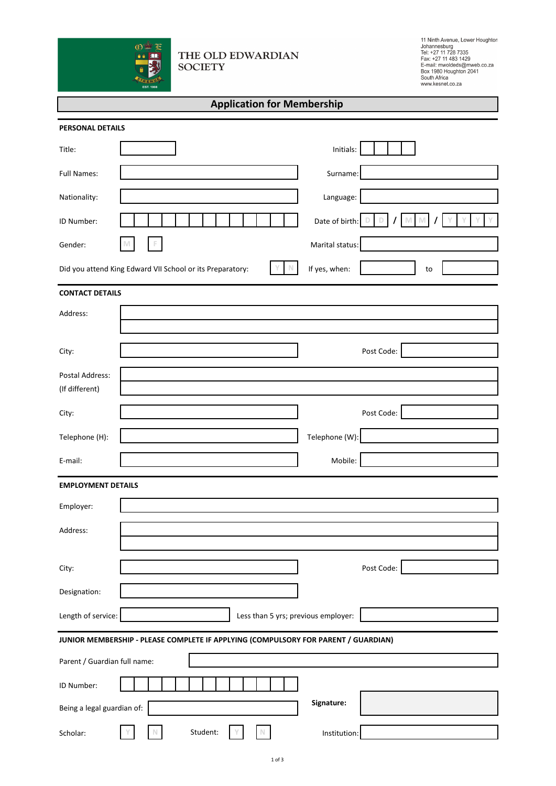

# THE OLD EDWARDIAN **SOCIETY**

11 Ninth Avenue, Lower Houghton<br>Johannesburg<br>Tel: +27 11 728 7335<br>Fax: +27 11 483 1429<br>E-mail: mwoldeds@mweb.co.za<br>Eox 1980 Houghton 2041<br>South Africa<br>Suuth Africa

| <b>Application for Membership</b> |  |  |  |
|-----------------------------------|--|--|--|
|-----------------------------------|--|--|--|

| <b>PERSONAL DETAILS</b>                                                            |                                                           |                 |            |  |  |
|------------------------------------------------------------------------------------|-----------------------------------------------------------|-----------------|------------|--|--|
| Title:                                                                             |                                                           | Initials:       |            |  |  |
| <b>Full Names:</b>                                                                 |                                                           | Surname:        |            |  |  |
| Nationality:                                                                       |                                                           | Language:       |            |  |  |
| ID Number:                                                                         |                                                           | Date of birth:  |            |  |  |
| Gender:                                                                            |                                                           | Marital status: |            |  |  |
|                                                                                    | Did you attend King Edward VII School or its Preparatory: | If yes, when:   | to         |  |  |
| <b>CONTACT DETAILS</b>                                                             |                                                           |                 |            |  |  |
| Address:                                                                           |                                                           |                 |            |  |  |
|                                                                                    |                                                           |                 |            |  |  |
| City:                                                                              |                                                           |                 | Post Code: |  |  |
| Postal Address:                                                                    |                                                           |                 |            |  |  |
| (If different)                                                                     |                                                           |                 |            |  |  |
| City:                                                                              |                                                           |                 | Post Code: |  |  |
| Telephone (H):                                                                     |                                                           | Telephone (W):  |            |  |  |
| E-mail:                                                                            |                                                           | Mobile:         |            |  |  |
| <b>EMPLOYMENT DETAILS</b>                                                          |                                                           |                 |            |  |  |
| Employer:                                                                          |                                                           |                 |            |  |  |
| Address:                                                                           |                                                           |                 |            |  |  |
|                                                                                    |                                                           |                 |            |  |  |
| City:                                                                              |                                                           |                 | Post Code: |  |  |
| Designation:                                                                       |                                                           |                 |            |  |  |
| Length of service:<br>Less than 5 yrs; previous employer:                          |                                                           |                 |            |  |  |
| JUNIOR MEMBERSHIP - PLEASE COMPLETE IF APPLYING (COMPULSORY FOR PARENT / GUARDIAN) |                                                           |                 |            |  |  |
| Parent / Guardian full name:                                                       |                                                           |                 |            |  |  |
| ID Number:                                                                         |                                                           |                 |            |  |  |
| Being a legal guardian of:                                                         |                                                           | Signature:      |            |  |  |
| Scholar:                                                                           | Student:                                                  | Institution:    |            |  |  |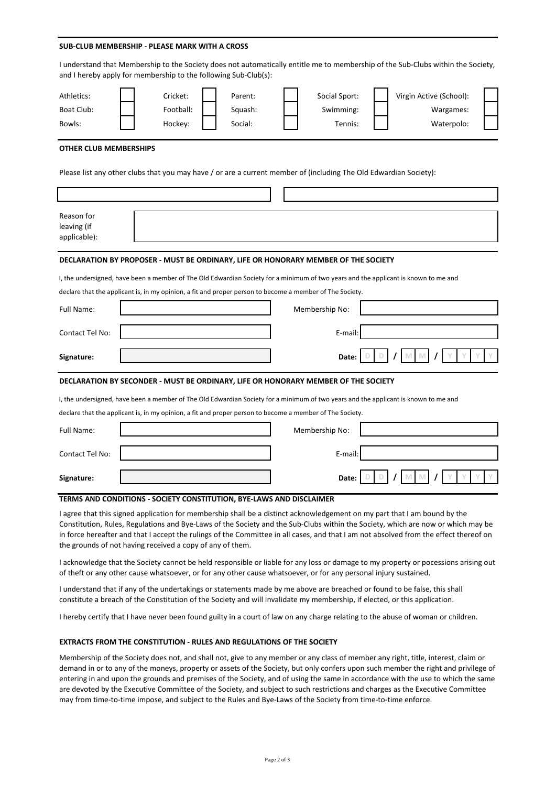#### **SUB-CLUB MEMBERSHIP - PLEASE MARK WITH A CROSS**

|                                                                                                                                     | I understand that Membership to the Society does not automatically entitle me to membership of the Sub-Clubs within the Society,<br>and I hereby apply for membership to the following Sub-Club(s): |                                       |                                                    |  |  |
|-------------------------------------------------------------------------------------------------------------------------------------|-----------------------------------------------------------------------------------------------------------------------------------------------------------------------------------------------------|---------------------------------------|----------------------------------------------------|--|--|
| Athletics:<br>Boat Club:<br>Bowls:                                                                                                  | Cricket:<br>Parent:<br>Football:<br>Squash:<br>Hockey:<br>Social:                                                                                                                                   | Social Sport:<br>Swimming:<br>Tennis: | Virgin Active (School):<br>Wargames:<br>Waterpolo: |  |  |
| <b>OTHER CLUB MEMBERSHIPS</b>                                                                                                       | Please list any other clubs that you may have / or are a current member of (including The Old Edwardian Society):                                                                                   |                                       |                                                    |  |  |
| Reason for<br>leaving (if<br>applicable):                                                                                           |                                                                                                                                                                                                     |                                       |                                                    |  |  |
|                                                                                                                                     | DECLARATION BY PROPOSER - MUST BE ORDINARY, LIFE OR HONORARY MEMBER OF THE SOCIETY                                                                                                                  |                                       |                                                    |  |  |
| I, the undersigned, have been a member of The Old Edwardian Society for a minimum of two years and the applicant is known to me and |                                                                                                                                                                                                     |                                       |                                                    |  |  |
|                                                                                                                                     | declare that the applicant is, in my opinion, a fit and proper person to become a member of The Society.                                                                                            |                                       |                                                    |  |  |
| Full Name:                                                                                                                          |                                                                                                                                                                                                     | Membership No:                        |                                                    |  |  |
| Contact Tel No:                                                                                                                     |                                                                                                                                                                                                     | E-mail                                |                                                    |  |  |
| Signature:                                                                                                                          |                                                                                                                                                                                                     | Date:                                 |                                                    |  |  |
|                                                                                                                                     | DECLARATION BY SECONDER - MUST BE ORDINARY, LIFE OR HONORARY MEMBER OF THE SOCIETY                                                                                                                  |                                       |                                                    |  |  |
|                                                                                                                                     | I, the undersigned, have been a member of The Old Edwardian Society for a minimum of two years and the applicant is known to me and                                                                 |                                       |                                                    |  |  |
|                                                                                                                                     | declare that the applicant is, in my opinion, a fit and proper person to become a member of The Society.                                                                                            |                                       |                                                    |  |  |
| Full Name:                                                                                                                          |                                                                                                                                                                                                     | Membership No:                        |                                                    |  |  |
| Contact Tel No:                                                                                                                     |                                                                                                                                                                                                     | E-mail                                |                                                    |  |  |
| Signature:                                                                                                                          |                                                                                                                                                                                                     | Date:                                 |                                                    |  |  |

### **TERMS AND CONDITIONS - SOCIETY CONSTITUTION, BYE-LAWS AND DISCLAIMER**

I agree that this signed application for membership shall be a distinct acknowledgement on my part that I am bound by the Constitution, Rules, Regulations and Bye-Laws of the Society and the Sub-Clubs within the Society, which are now or which may be in force hereafter and that I accept the rulings of the Committee in all cases, and that I am not absolved from the effect thereof on the grounds of not having received a copy of any of them.

I acknowledge that the Society cannot be held responsible or liable for any loss or damage to my property or pocessions arising out of theft or any other cause whatsoever, or for any other cause whatsoever, or for any personal injury sustained.

I understand that if any of the undertakings or statements made by me above are breached or found to be false, this shall constitute a breach of the Constitution of the Society and will invalidate my membership, if elected, or this application.

I hereby certify that I have never been found guilty in a court of law on any charge relating to the abuse of woman or children.

### **EXTRACTS FROM THE CONSTITUTION - RULES AND REGULATIONS OF THE SOCIETY**

Membership of the Society does not, and shall not, give to any member or any class of member any right, title, interest, claim or demand in or to any of the moneys, property or assets of the Society, but only confers upon such member the right and privilege of entering in and upon the grounds and premises of the Society, and of using the same in accordance with the use to which the same are devoted by the Executive Committee of the Society, and subject to such restrictions and charges as the Executive Committee may from time-to-time impose, and subject to the Rules and Bye-Laws of the Society from time-to-time enforce.